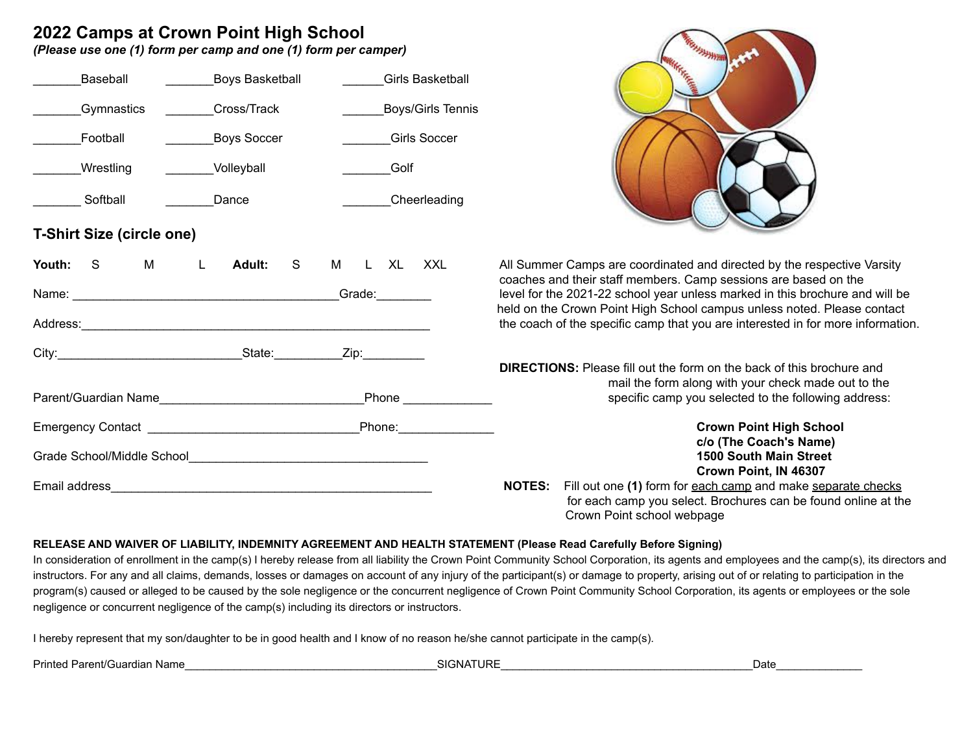# **2022 Camps at Crown Point High School**

*(Please use one (1) form per camp and one (1) form per camper)*

| Baseball                         | __Boys Basketball  | <b>Girls Basketball</b> |
|----------------------------------|--------------------|-------------------------|
| Gymnastics                       | Cross/Track        | Boys/Girls Tennis       |
| Football                         | <b>Boys Soccer</b> | <b>Girls Soccer</b>     |
| Wrestling                        | Volleyball         | <b>Example 19</b>       |
| Softball<br>________Dance        |                    | Cheerleading            |
| <b>T-Shirt Size (circle one)</b> |                    |                         |
| Youth: S M L Adult: S M L XL XXL |                    |                         |
|                                  |                    |                         |
|                                  |                    |                         |
|                                  |                    |                         |
|                                  |                    |                         |
|                                  |                    |                         |
|                                  |                    |                         |
|                                  |                    |                         |
|                                  |                    |                         |



All Summer Camps are coordinated and directed by the respective Varsity coaches and their staff members. Camp sessions are based on the level for the 2021-22 school year unless marked in this brochure and will be held on the Crown Point High School campus unless noted. Please contact the coach of the specific camp that you are interested in for more information.

**DIRECTIONS:** Please fill out the form on the back of this brochure and mail the form along with your check made out to the specific camp you selected to the following address:

> $Crown Point High School$ **c/o (The Coach's Name)** Grade School/Middle School\_\_\_\_\_\_\_\_\_\_\_\_\_\_\_\_\_\_\_\_\_\_\_\_\_\_\_\_\_\_\_\_\_\_\_ **1500 South Main Street Crown Point, IN 46307**

**NOTES:** Fill out one (1) form for each camp and make separate checks for each camp you select. Brochures can be found online at the Crown Point school webpage

## **RELEASE AND WAIVER OF LIABILITY, INDEMNITY AGREEMENT AND HEALTH STATEMENT (Please Read Carefully Before Signing)**

In consideration of enrollment in the camp(s) I hereby release from all liability the Crown Point Community School Corporation, its agents and employees and the camp(s), its directors and instructors. For any and all claims, demands, losses or damages on account of any injury of the participant(s) or damage to property, arising out of or relating to participation in the program(s) caused or alleged to be caused by the sole negligence or the concurrent negligence of Crown Point Community School Corporation, its agents or employees or the sole negligence or concurrent negligence of the camp(s) including its directors or instructors.

I hereby represent that my son/daughter to be in good health and I know of no reason he/she cannot participate in the camp(s).

Printed Parent/Guardian Name Date **Date of Contact Act and SIGNATURE Contact Act and SIGNATURE**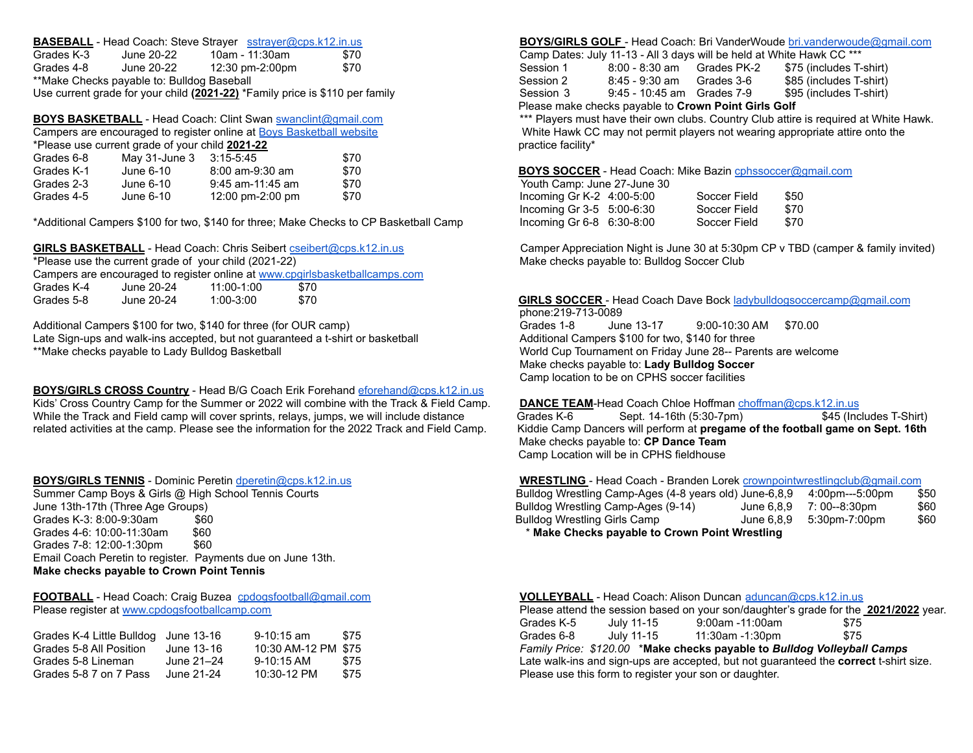|            |                                            | <b>BASEBALL</b> - Head Coach: Steve Strayer sstrayer@cps.k12.in.us           |      |           | <b>BOYS/GIRLS GOLF</b> - Head Coach: Bri VanderWoude bri.vanderwoud   |            |                   |
|------------|--------------------------------------------|------------------------------------------------------------------------------|------|-----------|-----------------------------------------------------------------------|------------|-------------------|
| Grades K-3 | June 20-22                                 | 10am - 11:30am                                                               | \$70 |           | Camp Dates: July 11-13 - All 3 days will be held at White Hawk CC *** |            |                   |
| Grades 4-8 | June 20-22                                 | 12:30 pm-2:00pm                                                              | \$70 | Session 1 | 8:00 - 8:30 am Grades PK-2                                            |            | \$75 (includes T- |
|            | **Make Checks payable to: Bulldog Baseball |                                                                              |      | Session 2 | 8:45 - 9:30 am                                                        | Grades 3-6 | \$85 (includes T- |
|            |                                            | Use current grade for your child (2021-22) *Family price is \$110 per family |      | Session 3 | 9:45 - 10:45 am Grades 7-9                                            |            | \$95 (includes T- |

**BOYS BASKETBALL** - Head Coach: Clint Swan [swanclint@gmail.com](mailto:swanclint@gmail.com) \*\*\* Players must have their own clubs. Country Club attire is required at White Hawk.

|                       | Campers are encouraged to register online at Boys Basketball website | White Hawk CC may not perm           |      |                                            |
|-----------------------|----------------------------------------------------------------------|--------------------------------------|------|--------------------------------------------|
|                       | *Please use current grade of your child 2021-22                      | practice facility*                   |      |                                            |
| Grades 6-8            | May 31-June 3 3:15-5:45                                              |                                      | \$70 |                                            |
| Grades K-1            | June 6-10                                                            | 8:00 am-9:30 am                      | \$70 | <b>BOYS SOCCER - Head Coach</b>            |
| Grades 2-3            | June 6-10                                                            | 9:45 am-11:45 am                     | \$70 | Youth Camp: June 27-June 30                |
| $C$ rodoc $\Lambda$ . | $l1$ in $\alpha$ 6.10                                                | $12.00 \text{ nm}$ $2.00 \text{ nm}$ | ¢70  | Incoming $C_1K_2$ , $\overline{A_1}00.500$ |

\*Please use the current grade of your child (2021-22) Make checks payable to: Bulldog Soccer Club Campers are encouraged to register online at [www.cpgirlsbasketballcamps.com](http://www.cpgirlsbasketballcamps.com) Grades K-4 June 20-24 11:00-1:00 \$70

Additional Campers \$100 for two, \$140 for three (for OUR camp) Grades 1-8 June 13-17 9:00-10:30 AM \$70.00 Late Sign-ups and walk-ins accepted, but not guaranteed a t-shirt or basketball Additional Campers \$100 for two, \$140 for three \*\*Make checks payable to Lady Bulldog Basketball World Cup Tournament on Friday June 28-- Parents are welcome

**BOYS/GIRLS CROSS Country** - Head B/G Coach Erik Forehand [eforehand@cps.k12.in.us](mailto:eforehand@cps.k12.in.us) Kids' Cross Country Camp for the Summer or 2022 will combine with the Track & Field Camp. DANCE TEAM-Head Coach Chloe Hoffman [choffman@cps.k12.in.us](mailto:choffman@cps.k12.in.us) While the Track and Field camp will cover sprints, relays, jumps, we will include distance Grades K-6 Sept. 14-16th (5:30-7pm) \$45 (Includes T-Shirt)

Summer Camp Boys & Girls @ High School Tennis Courts June 13th-17th (Three Age Groups) Grades K-3:  $8:00-9:30$ am  $$60$ Grades 4-6: 10:00-11:30am \$60 **\$60 \$10.00 \$10.00 \$10.00 \$10.00 \$10.00 \$10.00 \$10.00 \$10.00 \$10.00 \$10.00 \$10.00 \$10.00 \$10.00 \$10.00 \$10.00 \$10.00 \$10.00 \$10.00 \$10.00 \$10.00 \$10.00 \$10.00 \$10.00 \$10.00 \$10.00 \$10.00 \$10.0** Grades 7-8: 12:00-1:30pm \$60 Email Coach Peretin to register. Payments due on June 13th. **Make checks payable to Crown Point Tennis**

| Grades K-4 Little Bulldog June 13-16 |            | 9-10:15 am          | \$75 | Grades 6-8 | July 11-15 | 11:30am -1:30pm                                        |
|--------------------------------------|------------|---------------------|------|------------|------------|--------------------------------------------------------|
| Grades 5-8 All Position              | June 13-16 | 10:30 AM-12 PM_\$75 |      |            |            | Family Price: \$120.00 *Make checks payable to B       |
| Grades 5-8 Lineman                   | June 21–24 | 9-10:15 AM          | \$75 |            |            | Late walk-ins and sign-ups are accepted, but not gua   |
| Grades 5-8 7 on 7 Pass               | June 21-24 | 10:30-12 PM         | \$75 |            |            | Please use this form to register your son or daughter. |

### BOYS/GIRLS GOLF - Head Coach: Bri VanderWoude [bri.vanderwoude@gmail.com](mailto:bri.vanderwoude@gmail.com)

|            |                                            |                                                                              |      |           | Please make checks pavable to Crown Point Cirls Colf |            |                                                                       |
|------------|--------------------------------------------|------------------------------------------------------------------------------|------|-----------|------------------------------------------------------|------------|-----------------------------------------------------------------------|
|            |                                            | Use current grade for your child (2021-22) *Family price is \$110 per family |      | Session 3 | 9:45 - 10:45 am Grades 7-9                           |            | \$95 (includes T-shirt)                                               |
|            | **Make Checks payable to: Bulldog Baseball |                                                                              |      | Session 2 | 8:45 - 9:30 am                                       | Grades 3-6 | \$85 (includes T-shirt)                                               |
| Grades 4-8 | June 20-22                                 | 12:30 pm-2:00pm                                                              | \$70 | Session 1 | 8:00 - 8:30 am Grades PK-2                           |            | \$75 (includes T-shirt)                                               |
| Grades K-3 | June 20-22 .                               | 10am - 11:30am                                                               | \$70 |           |                                                      |            | Camp Dates: July 11-13 - All 3 days will be held at White Hawk CC *** |

Please make checks payable to **Crown Point Girls Golf**

White Hawk CC may not permit players not wearing appropriate attire onto the practice facility\*

BOYS SOCCER - Head Coach: Mike Bazin [cphssoccer@gmail.com](mailto:cphssoccer@gmail.com)

| Grades 2-3 | June 6-10 | 9:45 am-11:45 am | \$70                                                                                  | Youth Camp: June 27-June 30   |              |      |
|------------|-----------|------------------|---------------------------------------------------------------------------------------|-------------------------------|--------------|------|
| Grades 4-5 | June 6-10 | 12:00 pm-2:00 pm | \$70                                                                                  | Incoming Gr K-2 $4:00-5:00$   | Soccer Field | \$50 |
|            |           |                  |                                                                                       | Incoming Gr $3-5$ 5:00-6:30   | Soccer Field | \$70 |
|            |           |                  | *Additional Campers \$100 for two, \$140 for three; Make Checks to CP Basketball Camp | Incoming Gr $6-8$ $6:30-8:00$ | Soccer Field | \$70 |

GIRLS BASKETBALL - Head Coach: Chris Seibert [cseibert@cps.k12.in.us](mailto:cseibert@cps.k12.in.us) Camper Appreciation Night is June 30 at 5:30pm CP v TBD (camper & family invited)

GIRLS SOCCER - Head Coach Dave Bock [ladybulldogsoccercamp@gmail.com](mailto:ladybulldogsoccercamp@gmail.com) phone:219-713-0089

Make checks payable to: **Lady Bulldog Soccer** Camp location to be on CPHS soccer facilities

related activities at the camp. Please see the information for the 2022 Track and Field Camp. Kiddie Camp Dancers will perform at **pregame of the football game on Sept. 16th** Make checks payable to: **CP Dance Team** Camp Location will be in CPHS fieldhouse

### **BOYS/GIRLS TENNIS** - Dominic Peretin [dperetin@cps.k12.in.us](mailto:dperetin@cps.k12.in.us) **WRESTLING** - Head Coach - Branden Lorek [crownpointwrestlingclub@gmail.com](mailto:crownpointwrestlingclub@gmail.com)

| Bulldog Wrestling Camp-Ages (4-8 years old) June-6,8,9 |            | 4:00pm---5:00pm | \$50 |  |  |  |
|--------------------------------------------------------|------------|-----------------|------|--|--|--|
| Bulldog Wrestling Camp-Ages (9-14)                     | June 6.8.9 | 7: 00--8:30pm   | \$60 |  |  |  |
| Bulldog Wrestling Girls Camp                           | June 6.8.9 | 5:30pm-7:00pm   | \$60 |  |  |  |
| * Make Checks pavable to Crown Point Wrestling         |            |                 |      |  |  |  |

| <b>FOOTBALL</b> - Head Coach: Craig Buzea cpdogsfootball@gmail.com |            |                     |      | <b>VOLLEYBALL</b> - Head Coach: Alison Duncan aduncan@cps.k12.in.us                   |  |  |  |
|--------------------------------------------------------------------|------------|---------------------|------|---------------------------------------------------------------------------------------|--|--|--|
| Please register at www.cpdogsfootballcamp.com                      |            |                     |      | Please attend the session based on your son/daughter's grade for the 2021/2022 year.  |  |  |  |
|                                                                    |            |                     |      | 9:00am -11:00am<br>Grades K-5<br>July 11-15<br>\$75                                   |  |  |  |
| Grades K-4 Little Bulldog June 13-16                               |            | 9-10:15 am          | \$75 | Grades 6-8<br>\$75<br>July 11-15<br>11:30am -1:30pm                                   |  |  |  |
| Grades 5-8 All Position                                            | June 13-16 | 10:30 AM-12 PM \$75 |      | Family Price: \$120.00 *Make checks payable to Bulldog Volleyball Camps               |  |  |  |
| Grades 5-8 Lineman                                                 | June 21–24 | 9-10:15 AM          | \$75 | Late walk-ins and sign-ups are accepted, but not guaranteed the correct t-shirt size. |  |  |  |
| Grades 5-8 7 on 7 Pass                                             | June 21-24 | 10:30-12 PM         | \$75 | Please use this form to register your son or daughter.                                |  |  |  |